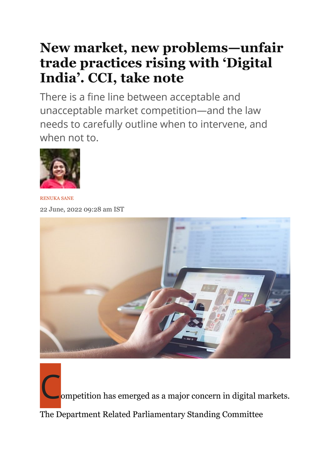## **New market, new problems—unfair trade practices rising with 'Digital India'. CCI, take note**

There is a fine line between acceptable and unacceptable market competition—and the law needs to carefully outline when to intervene, and when not to.



RENUKA SANE 22 June, 2022 09:28 am IST



ompetition has emerged as a major concern in digital markets. The Department Related Parliamentary Standing Committee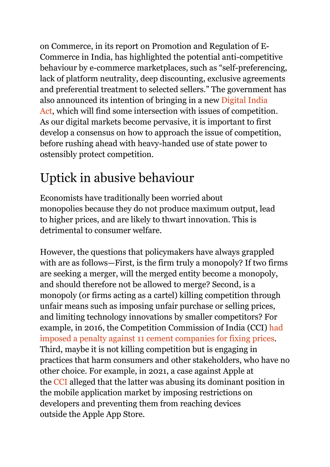on Commerce, in its report on Promotion and Regulation of E-Commerce in India, has highlighted the potential anti-competitive behaviour by e-commerce marketplaces, such as "self-preferencing, lack of platform neutrality, deep discounting, exclusive agreements and preferential treatment to selected sellers." The government has also announced its intention of bringing in a new Digital India Act, which will find some intersection with issues of competition. As our digital markets become pervasive, it is important to first develop a consensus on how to approach the issue of competition, before rushing ahead with heavy-handed use of state power to ostensibly protect competition.

## Uptick in abusive behaviour

Economists have traditionally been worried about monopolies because they do not produce maximum output, lead to higher prices, and are likely to thwart innovation. This is detrimental to consumer welfare.

However, the questions that policymakers have always grappled with are as follows—First, is the firm truly a monopoly? If two firms are seeking a merger, will the merged entity become a monopoly, and should therefore not be allowed to merge? Second, is a monopoly (or firms acting as a cartel) killing competition through unfair means such as imposing unfair purchase or selling prices, and limiting technology innovations by smaller competitors? For example, in 2016, the Competition Commission of India (CCI) had imposed a penalty against 11 cement companies for fixing prices. Third, maybe it is not killing competition but is engaging in practices that harm consumers and other stakeholders, who have no other choice. For example, in 2021, a case against Apple at the CCI alleged that the latter was abusing its dominant position in the mobile application market by imposing restrictions on developers and preventing them from reaching devices outside the Apple App Store.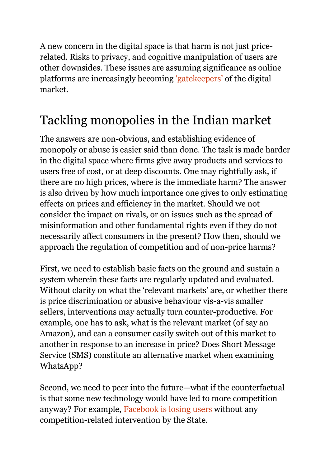A new concern in the digital space is that harm is not just pricerelated. Risks to privacy, and cognitive manipulation of users are other downsides. These issues are assuming significance as online platforms are increasingly becoming 'gatekeepers' of the digital market.

## Tackling monopolies in the Indian market

The answers are non-obvious, and establishing evidence of monopoly or abuse is easier said than done. The task is made harder in the digital space where firms give away products and services to users free of cost, or at deep discounts. One may rightfully ask, if there are no high prices, where is the immediate harm? The answer is also driven by how much importance one gives to only estimating effects on prices and efficiency in the market. Should we not consider the impact on rivals, or on issues such as the spread of misinformation and other fundamental rights even if they do not necessarily affect consumers in the present? How then, should we approach the regulation of competition and of non-price harms?

First, we need to establish basic facts on the ground and sustain a system wherein these facts are regularly updated and evaluated. Without clarity on what the 'relevant markets' are, or whether there is price discrimination or abusive behaviour vis-a-vis smaller sellers, interventions may actually turn counter-productive. For example, one has to ask, what is the relevant market (of say an Amazon), and can a consumer easily switch out of this market to another in response to an increase in price? Does Short Message Service (SMS) constitute an alternative market when examining WhatsApp?

Second, we need to peer into the future—what if the counterfactual is that some new technology would have led to more competition anyway? For example, Facebook is losing users without any competition-related intervention by the State.